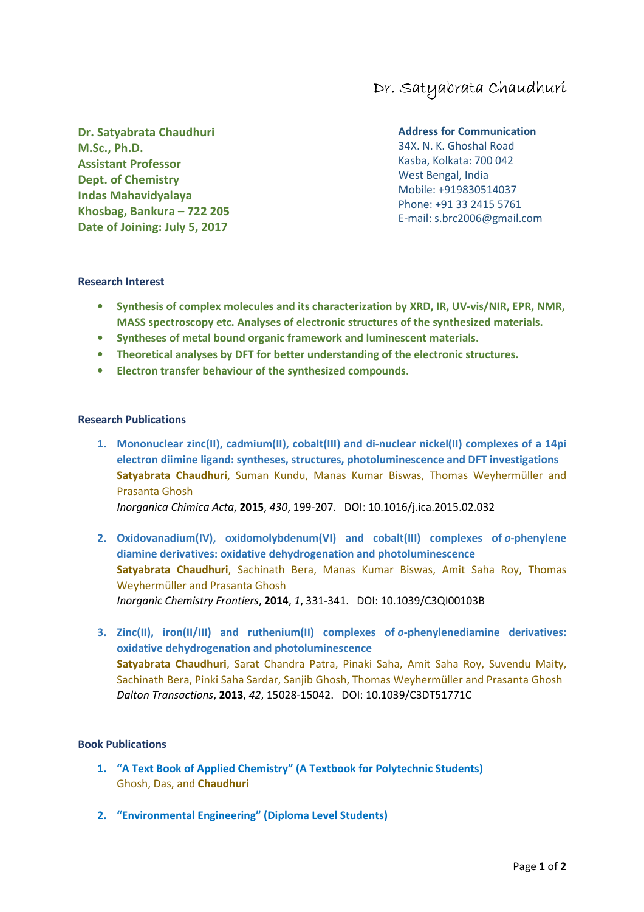# Dr. Satyabrata Chaudhuri

**Dr. Satyabrata Chaudhuri M.Sc., Ph.D. Assistant Professor Dept. of Chemistry Indas Mahavidyalaya Khosbag, Bankura – 722 205 Date of Joining: July 5, 2017** 

### **Address for Communication**

34X. N. K. Ghoshal Road Kasba, Kolkata: 700 042 West Bengal, India Mobile: +919830514037 Phone: +91 33 2415 5761 E-mail: s.brc2006@gmail.com

#### **Research Interest**

- **Synthesis of complex molecules and its characterization by XRD, IR, UV-vis/NIR, EPR, NMR, MASS spectroscopy etc. Analyses of electronic structures of the synthesized materials.**
- **Syntheses of metal bound organic framework and luminescent materials.**
- **Theoretical analyses by DFT for better understanding of the electronic structures.**
- **Electron transfer behaviour of the synthesized compounds.**

#### **Research Publications**

**1. Mononuclear zinc(II), cadmium(II), cobalt(III) and di-nuclear nickel(II) complexes of a 14pi electron diimine ligand: syntheses, structures, photoluminescence and DFT investigations Satyabrata Chaudhuri**, Suman Kundu, Manas Kumar Biswas, Thomas Weyhermüller and Prasanta Ghosh

*Inorganica Chimica Acta*, **2015**, *430*, 199-207. DOI: 10.1016/j.ica.2015.02.032

- **2. Oxidovanadium(IV), oxidomolybdenum(VI) and cobalt(III) complexes of** *o***-phenylene diamine derivatives: oxidative dehydrogenation and photoluminescence Satyabrata Chaudhuri**, Sachinath Bera, Manas Kumar Biswas, Amit Saha Roy, Thomas Weyhermüller and Prasanta Ghosh *Inorganic Chemistry Frontiers*, **2014**, *1*, 331-341. DOI: 10.1039/C3QI00103B
- **3. Zinc(II), iron(II/III) and ruthenium(II) complexes of** *o***-phenylenediamine derivatives: oxidative dehydrogenation and photoluminescence Satyabrata Chaudhuri**, Sarat Chandra Patra, Pinaki Saha, Amit Saha Roy, Suvendu Maity, Sachinath Bera, Pinki Saha Sardar, Sanjib Ghosh, Thomas Weyhermüller and Prasanta Ghosh *Dalton Transactions*, **2013**, *42*, 15028-15042. DOI: 10.1039/C3DT51771C

#### **Book Publications**

- **1. "A Text Book of Applied Chemistry" (A Textbook for Polytechnic Students)**  Ghosh, Das, and **Chaudhuri**
- **2. "Environmental Engineering" (Diploma Level Students)**